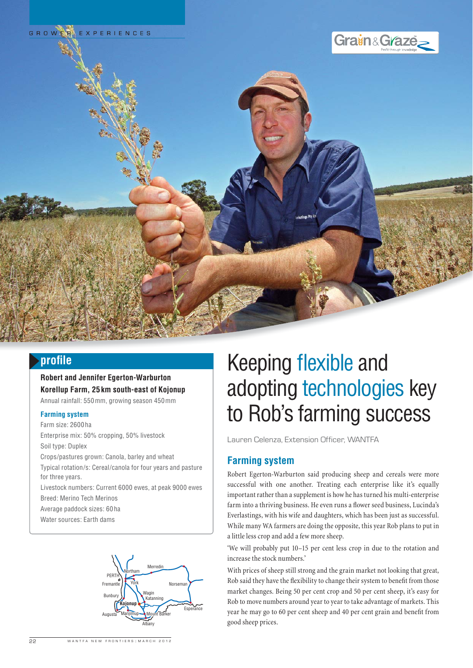





# **profi le**

**Robert and Jennifer Egerton-Warburton Korellup Farm, 25 km south-east of Kojonup** Annual rainfall: 550 mm, growing season 450 mm

#### **Farming system**

Farm size: 2600 ha Enterprise mix: 50% cropping, 50% livestock Soil type: Duplex Crops/pastures grown: Canola, barley and wheat Typical rotation/s: Cereal/canola for four years and pasture for three years. Livestock numbers: Current 6000 ewes, at peak 9000 ewes Breed: Merino Tech Merinos

Average paddock sizes: 60 ha

Water sources: Earth dams



# Keeping flexible and adopting technologies key to Rob's farming success

Lauren Celenza, Extension Officer, WANTFA

## **Farming system**

Robert Egerton-Warburton said producing sheep and cereals were more successful with one another. Treating each enterprise like it's equally important rather than a supplement is how he has turned his multi-enterprise farm into a thriving business. He even runs a flower seed business, Lucinda's Everlastings, with his wife and daughters, which has been just as successful. While many WA farmers are doing the opposite, this year Rob plans to put in a little less crop and add a few more sheep.

'We will probably put 10–15 per cent less crop in due to the rotation and increase the stock numbers.'

With prices of sheep still strong and the grain market not looking that great, Rob said they have the flexibility to change their system to benefit from those market changes. Being 50 per cent crop and 50 per cent sheep, it's easy for Rob to move numbers around year to year to take advantage of markets. This year he may go to 60 per cent sheep and 40 per cent grain and benefit from good sheep prices.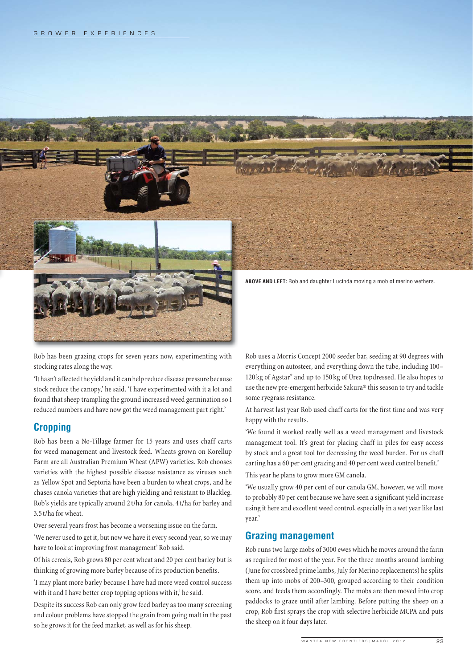

Rob has been grazing crops for seven years now, experimenting with stocking rates along the way.

'It hasn't affected the yield and it can help reduce disease pressure because stock reduce the canopy,' he said. 'I have experimented with it a lot and found that sheep trampling the ground increased weed germination so I reduced numbers and have now got the weed management part right.'

## **Cropping**

Rob has been a No-Tillage farmer for 15 years and uses chaff carts for weed management and livestock feed. Wheats grown on Korellup Farm are all Australian Premium Wheat (APW) varieties. Rob chooses varieties with the highest possible disease resistance as viruses such as Yellow Spot and Septoria have been a burden to wheat crops, and he chases canola varieties that are high yielding and resistant to Blackleg. Rob's yields are typically around 2 t/ha for canola, 4 t/ha for barley and 3.5 t/ha for wheat.

Over several years frost has become a worsening issue on the farm.

'We never used to get it, but now we have it every second year, so we may have to look at improving frost management' Rob said.

Of his cereals, Rob grows 80 per cent wheat and 20 per cent barley but is thinking of growing more barley because of its production benefits.

'I may plant more barley because I have had more weed control success with it and I have better crop topping options with it,' he said.

Despite its success Rob can only grow feed barley as too many screening and colour problems have stopped the grain from going malt in the past so he grows it for the feed market, as well as for his sheep.

Rob uses a Morris Concept 2000 seeder bar, seeding at 90 degrees with everything on autosteer, and everything down the tube, including 100– 120 kg of Agstar® and up to 150 kg of Urea topdressed. He also hopes to use the new pre-emergent herbicide Sakura® this season to try and tackle some ryegrass resistance.

At harvest last year Rob used chaff carts for the first time and was very happy with the results.

'We found it worked really well as a weed management and livestock management tool. It's great for placing chaff in piles for easy access by stock and a great tool for decreasing the weed burden. For us chaff carting has a 60 per cent grazing and 40 per cent weed control benefit.'

This year he plans to grow more GM canola.

'We usually grow 40 per cent of our canola GM, however, we will move to probably 80 per cent because we have seen a significant yield increase using it here and excellent weed control, especially in a wet year like last year.'

### **Grazing management**

Rob runs two large mobs of 3000 ewes which he moves around the farm as required for most of the year. For the three months around lambing (June for crossbred prime lambs, July for Merino replacements) he splits them up into mobs of 200–300, grouped according to their condition score, and feeds them accordingly. The mobs are then moved into crop paddocks to graze until after lambing. Before putting the sheep on a crop, Rob first sprays the crop with selective herbicide MCPA and puts the sheep on it four days later.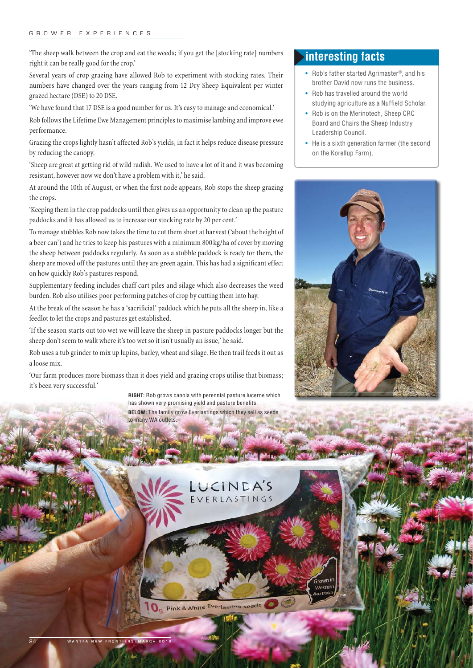#### GROWER EXPERIENCES

'The sheep walk between the crop and eat the weeds; if you get the [stocking rate] numbers right it can be really good for the crop.'

Several years of crop grazing have allowed Rob to experiment with stocking rates. Their numbers have changed over the years ranging from 12 Dry Sheep Equivalent per winter grazed hectare (DSE) to 20 DSE.

'We have found that 17 DSE is a good number for us. It's easy to manage and economical.'

Rob follows the Lifetime Ewe Management principles to maximise lambing and improve ewe performance.

Grazing the crops lightly hasn't affected Rob's yields, in fact it helps reduce disease pressure by reducing the canopy.

'Sheep are great at getting rid of wild radish. We used to have a lot of it and it was becoming resistant, however now we don't have a problem with it,' he said.

At around the 10th of August, or when the first node appears, Rob stops the sheep grazing the crops.

'Keeping them in the crop paddocks until then gives us an opportunity to clean up the pasture paddocks and it has allowed us to increase our stocking rate by 20 per cent.'

To manage stubbles Rob now takes the time to cut them short at harvest ('about the height of a beer can') and he tries to keep his pastures with a minimum 800 kg/ha of cover by moving the sheep between paddocks regularly. As soon as a stubble paddock is ready for them, the sheep are moved off the pastures until they are green again. This has had a significant effect on how quickly Rob's pastures respond.

Supplementary feeding includes chaff cart piles and silage which also decreases the weed burden. Rob also utilises poor performing patches of crop by cutting them into hay.

At the break of the season he has a 'sacrificial' paddock which he puts all the sheep in, like a feedlot to let the crops and pastures get established.

'If the season starts out too wet we will leave the sheep in pasture paddocks longer but the sheep don't seem to walk where it's too wet so it isn't usually an issue,' he said.

Rob uses a tub grinder to mix up lupins, barley, wheat and silage. He then trail feeds it out as a loose mix.

'Our farm produces more biomass than it does yield and grazing crops utilise that biomass; it's been very successful.'

> **RIGHT:** Rob grows canola with perennial pasture lucerne which has shown very promising yield and pasture benefits. **BELOW:** The family grow Everlastings which they sell as seeds

to many WA outlets.

# **interesting facts**

- Rob's father started Agrimaster<sup>®</sup>, and his brother David now runs the business.
- Rob has travelled around the world studying agriculture as a Nuffield Scholar.
- Rob is on the Merinotech, Sheep CRC Board and Chairs the Sheep Industry Leadership Council.
- He is a sixth generation farmer (the second on the Korellup Farm).



**O**<sub>g</sub> Pink & White Everlasting seeds

LUCINEA'S